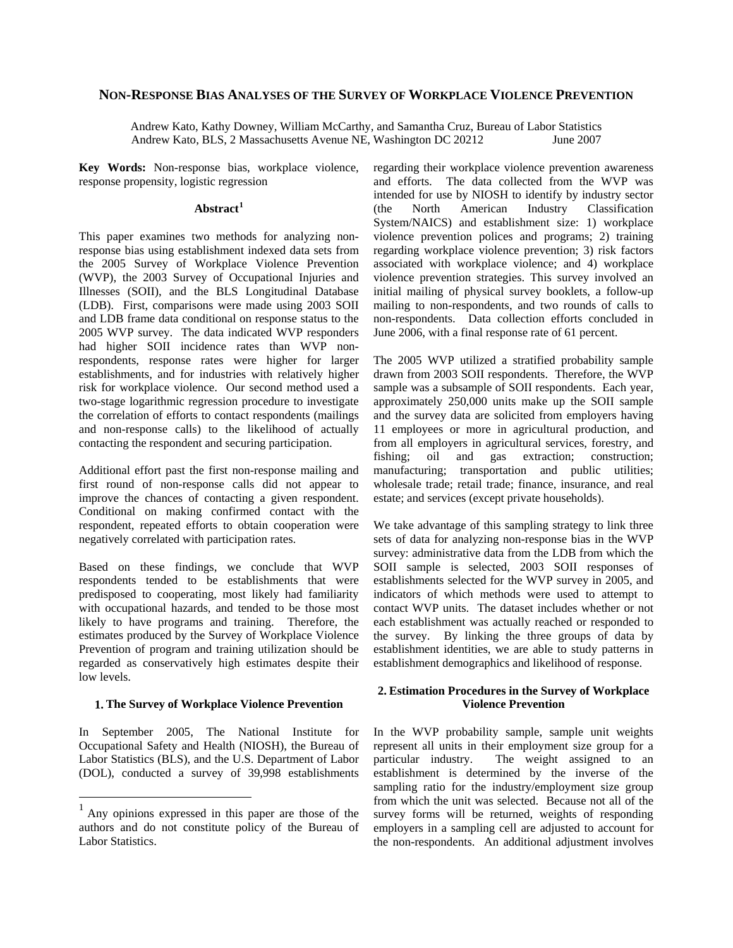### **NON-RESPONSE BIAS ANALYSES OF THE SURVEY OF WORKPLACE VIOLENCE PREVENTION**

Andrew Kato, Kathy Downey, William McCarthy, and Samantha Cruz, Bureau of Labor Statistics Andrew Kato, BLS, 2 Massachusetts Avenue NE, Washington DC 20212 June 2007

**Key Words:** Non-response bias, workplace violence, response propensity, logistic regression

# **Abstract[1](#page-0-0)**

This paper examines two methods for analyzing nonresponse bias using establishment indexed data sets from the 2005 Survey of Workplace Violence Prevention (WVP), the 2003 Survey of Occupational Injuries and Illnesses (SOII), and the BLS Longitudinal Database (LDB). First, comparisons were made using 2003 SOII and LDB frame data conditional on response status to the 2005 WVP survey. The data indicated WVP responders had higher SOII incidence rates than WVP nonrespondents, response rates were higher for larger establishments, and for industries with relatively higher risk for workplace violence. Our second method used a two-stage logarithmic regression procedure to investigate the correlation of efforts to contact respondents (mailings and non-response calls) to the likelihood of actually contacting the respondent and securing participation.

Additional effort past the first non-response mailing and first round of non-response calls did not appear to improve the chances of contacting a given respondent. Conditional on making confirmed contact with the respondent, repeated efforts to obtain cooperation were negatively correlated with participation rates.

Based on these findings, we conclude that WVP respondents tended to be establishments that were predisposed to cooperating, most likely had familiarity with occupational hazards, and tended to be those most likely to have programs and training. Therefore, the estimates produced by the Survey of Workplace Violence Prevention of program and training utilization should be regarded as conservatively high estimates despite their low levels.

## **1. The Survey of Workplace Violence Prevention**

In September 2005, The National Institute for Occupational Safety and Health (NIOSH), the Bureau of Labor Statistics (BLS), and the U.S. Department of Labor (DOL), conducted a survey of 39,998 establishments

<u>.</u>

regarding their workplace violence prevention awareness and efforts. The data collected from the WVP was intended for use by NIOSH to identify by industry sector (the North American Industry Classification System/NAICS) and establishment size: 1) workplace violence prevention polices and programs; 2) training regarding workplace violence prevention; 3) risk factors associated with workplace violence; and 4) workplace violence prevention strategies. This survey involved an initial mailing of physical survey booklets, a follow-up mailing to non-respondents, and two rounds of calls to non-respondents. Data collection efforts concluded in June 2006, with a final response rate of 61 percent.

The 2005 WVP utilized a stratified probability sample drawn from 2003 SOII respondents. Therefore, the WVP sample was a subsample of SOII respondents. Each year, approximately 250,000 units make up the SOII sample and the survey data are solicited from employers having 11 employees or more in agricultural production, and from all employers in agricultural services, forestry, and fishing; oil and gas extraction; construction; manufacturing; transportation and public utilities; wholesale trade; retail trade; finance, insurance, and real estate; and services (except private households).

We take advantage of this sampling strategy to link three sets of data for analyzing non-response bias in the WVP survey: administrative data from the LDB from which the SOII sample is selected, 2003 SOII responses of establishments selected for the WVP survey in 2005, and indicators of which methods were used to attempt to contact WVP units. The dataset includes whether or not each establishment was actually reached or responded to the survey. By linking the three groups of data by establishment identities, we are able to study patterns in establishment demographics and likelihood of response.

## **2. Estimation Procedures in the Survey of Workplace Violence Prevention**

In the WVP probability sample, sample unit weights represent all units in their employment size group for a particular industry. The weight assigned to an establishment is determined by the inverse of the sampling ratio for the industry/employment size group from which the unit was selected. Because not all of the survey forms will be returned, weights of responding employers in a sampling cell are adjusted to account for the non-respondents. An additional adjustment involves

<span id="page-0-0"></span> $<sup>1</sup>$  Any opinions expressed in this paper are those of the</sup> authors and do not constitute policy of the Bureau of Labor Statistics.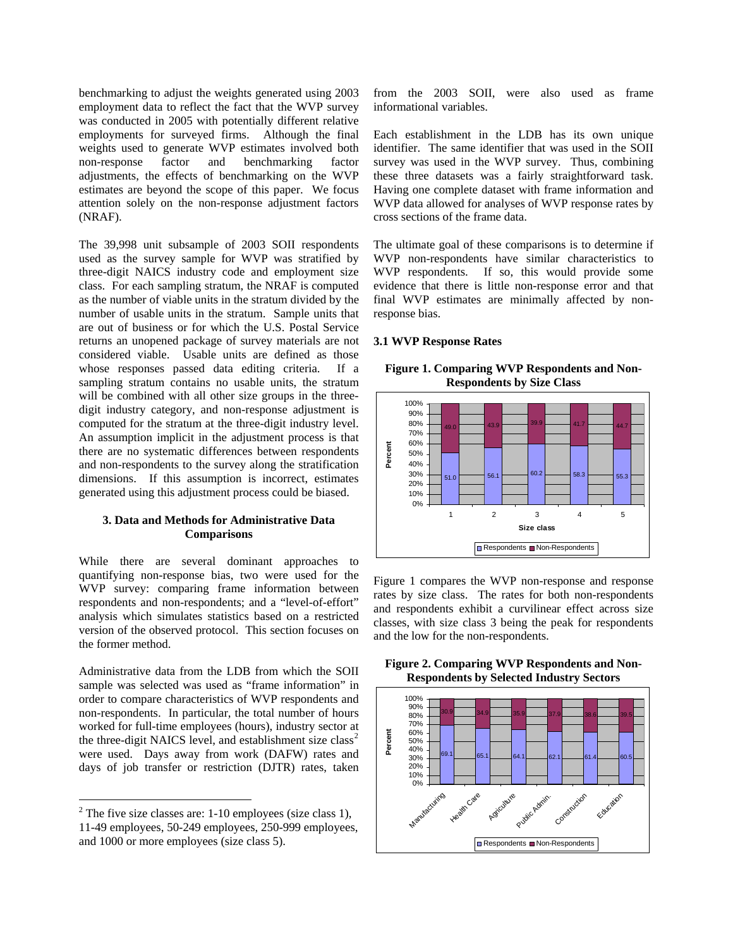benchmarking to adjust the weights generated using 2003 employment data to reflect the fact that the WVP survey was conducted in 2005 with potentially different relative employments for surveyed firms. Although the final weights used to generate WVP estimates involved both non-response factor and benchmarking factor adjustments, the effects of benchmarking on the WVP estimates are beyond the scope of this paper. We focus attention solely on the non-response adjustment factors (NRAF).

The 39,998 unit subsample of 2003 SOII respondents used as the survey sample for WVP was stratified by three-digit NAICS industry code and employment size class. For each sampling stratum, the NRAF is computed as the number of viable units in the stratum divided by the number of usable units in the stratum. Sample units that are out of business or for which the U.S. Postal Service returns an unopened package of survey materials are not considered viable. Usable units are defined as those whose responses passed data editing criteria. If a sampling stratum contains no usable units, the stratum will be combined with all other size groups in the threedigit industry category, and non-response adjustment is computed for the stratum at the three-digit industry level. An assumption implicit in the adjustment process is that there are no systematic differences between respondents and non-respondents to the survey along the stratification dimensions. If this assumption is incorrect, estimates generated using this adjustment process could be biased.

## **3. Data and Methods for Administrative Data Comparisons**

While there are several dominant approaches to quantifying non-response bias, two were used for the WVP survey: comparing frame information between respondents and non-respondents; and a "level-of-effort" analysis which simulates statistics based on a restricted version of the observed protocol. This section focuses on the former method.

Administrative data from the LDB from which the SOII sample was selected was used as "frame information" in order to compare characteristics of WVP respondents and non-respondents. In particular, the total number of hours worked for full-time employees (hours), industry sector at the three-digit NAICS level, and establishment size  $class<sup>2</sup>$  $class<sup>2</sup>$  $class<sup>2</sup>$ were used. Days away from work (DAFW) rates and days of job transfer or restriction (DJTR) rates, taken

<u>.</u>

from the 2003 SOII, were also used as frame informational variables.

Each establishment in the LDB has its own unique identifier. The same identifier that was used in the SOII survey was used in the WVP survey. Thus, combining these three datasets was a fairly straightforward task. Having one complete dataset with frame information and WVP data allowed for analyses of WVP response rates by cross sections of the frame data.

The ultimate goal of these comparisons is to determine if WVP non-respondents have similar characteristics to WVP respondents. If so, this would provide some evidence that there is little non-response error and that final WVP estimates are minimally affected by nonresponse bias.

### **3.1 WVP Response Rates**

**Figure 1. Comparing WVP Respondents and Non-Respondents by Size Class** 



Figure 1 compares the WVP non-response and response rates by size class. The rates for both non-respondents and respondents exhibit a curvilinear effect across size classes, with size class 3 being the peak for respondents and the low for the non-respondents.





<span id="page-1-0"></span> $2^2$  The five size classes are: 1-10 employees (size class 1), 11-49 employees, 50-249 employees, 250-999 employees, and 1000 or more employees (size class 5).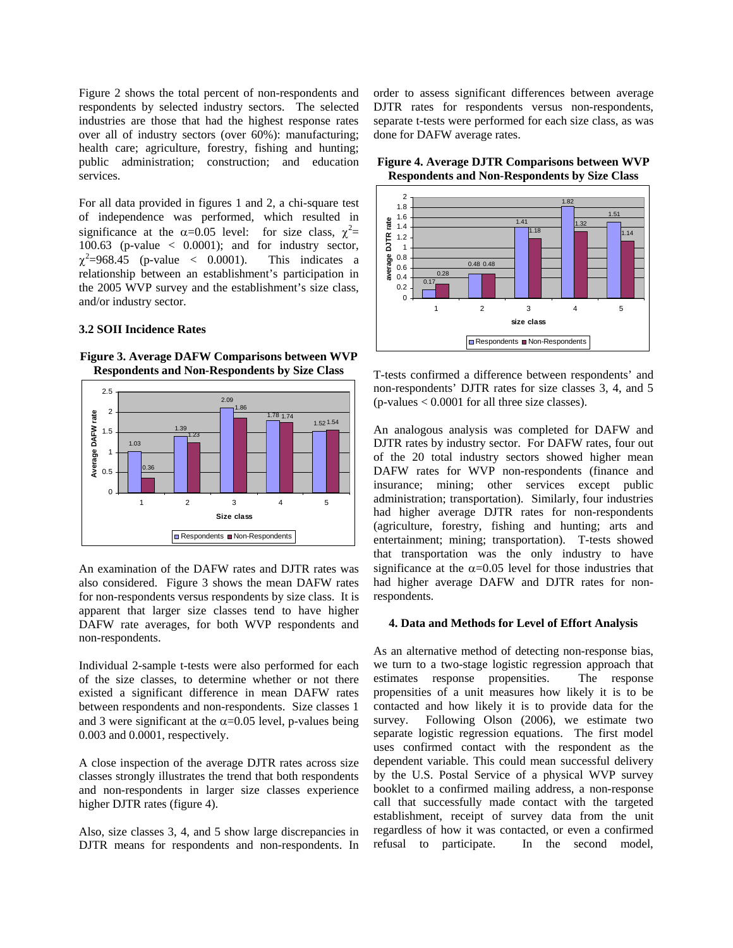Figure 2 shows the total percent of non-respondents and respondents by selected industry sectors. The selected industries are those that had the highest response rates over all of industry sectors (over 60%): manufacturing; health care; agriculture, forestry, fishing and hunting; public administration; construction; and education services.

For all data provided in figures 1 and 2, a chi-square test of independence was performed, which resulted in significance at the  $\alpha$ =0.05 level: for size class,  $\chi^2$ = 100.63 (p-value  $\langle$  0.0001); and for industry sector,  $\chi^2$ =968.45 (p-value < 0.0001). This indicates a relationship between an establishment's participation in the 2005 WVP survey and the establishment's size class, and/or industry sector.

## **3.2 SOII Incidence Rates**

**Figure 3. Average DAFW Comparisons between WVP Respondents and Non-Respondents by Size Class** 



An examination of the DAFW rates and DJTR rates was also considered. Figure 3 shows the mean DAFW rates for non-respondents versus respondents by size class. It is apparent that larger size classes tend to have higher DAFW rate averages, for both WVP respondents and non-respondents.

Individual 2-sample t-tests were also performed for each of the size classes, to determine whether or not there existed a significant difference in mean DAFW rates between respondents and non-respondents. Size classes 1 and 3 were significant at the  $\alpha$ =0.05 level, p-values being 0.003 and 0.0001, respectively.

A close inspection of the average DJTR rates across size classes strongly illustrates the trend that both respondents and non-respondents in larger size classes experience higher DJTR rates (figure 4).

Also, size classes 3, 4, and 5 show large discrepancies in DJTR means for respondents and non-respondents. In order to assess significant differences between average DJTR rates for respondents versus non-respondents, separate t-tests were performed for each size class, as was done for DAFW average rates.





T-tests confirmed a difference between respondents' and non-respondents' DJTR rates for size classes 3, 4, and 5  $(p\n-values < 0.0001$  for all three size classes).

An analogous analysis was completed for DAFW and DJTR rates by industry sector. For DAFW rates, four out of the 20 total industry sectors showed higher mean DAFW rates for WVP non-respondents (finance and insurance; mining; other services except public administration; transportation). Similarly, four industries had higher average DJTR rates for non-respondents (agriculture, forestry, fishing and hunting; arts and entertainment; mining; transportation). T-tests showed that transportation was the only industry to have significance at the  $\alpha$ =0.05 level for those industries that had higher average DAFW and DJTR rates for nonrespondents.

#### **4. Data and Methods for Level of Effort Analysis**

As an alternative method of detecting non-response bias, we turn to a two-stage logistic regression approach that estimates response propensities. The response propensities of a unit measures how likely it is to be contacted and how likely it is to provide data for the survey. Following Olson (2006), we estimate two separate logistic regression equations. The first model uses confirmed contact with the respondent as the dependent variable. This could mean successful delivery by the U.S. Postal Service of a physical WVP survey booklet to a confirmed mailing address, a non-response call that successfully made contact with the targeted establishment, receipt of survey data from the unit regardless of how it was contacted, or even a confirmed refusal to participate. In the second model,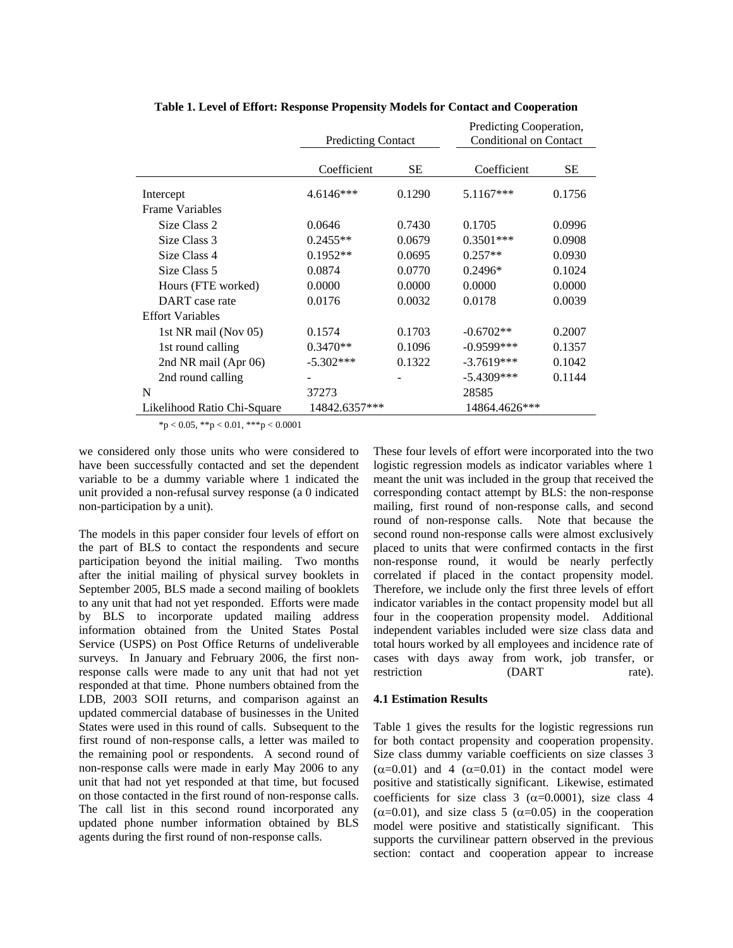|                             | <b>Predicting Contact</b> |           | Predicting Cooperation,<br><b>Conditional on Contact</b> |        |  |
|-----------------------------|---------------------------|-----------|----------------------------------------------------------|--------|--|
|                             | Coefficient               | <b>SE</b> | Coefficient                                              | SЕ     |  |
| Intercept                   | 4.6146***                 | 0.1290    | 5.1167***                                                | 0.1756 |  |
| Frame Variables             |                           |           |                                                          |        |  |
| Size Class 2                | 0.0646                    | 0.7430    | 0.1705                                                   | 0.0996 |  |
| Size Class 3                | $0.2455**$                | 0.0679    | $0.3501***$                                              | 0.0908 |  |
| Size Class 4                | $0.1952**$                | 0.0695    | $0.257**$                                                | 0.0930 |  |
| Size Class 5                | 0.0874                    | 0.0770    | $0.2496*$                                                | 0.1024 |  |
| Hours (FTE worked)          | 0.0000                    | 0.0000    | 0.0000                                                   | 0.0000 |  |
| DART case rate              | 0.0176                    | 0.0032    | 0.0178                                                   | 0.0039 |  |
| <b>Effort Variables</b>     |                           |           |                                                          |        |  |
| 1st NR mail (Nov 05)        | 0.1574                    | 0.1703    | $-0.6702**$                                              | 0.2007 |  |
| 1st round calling           | $0.3470**$                | 0.1096    | $-0.9599***$                                             | 0.1357 |  |
| 2nd NR mail (Apr 06)        | $-5.302***$               | 0.1322    | $-3.7619***$                                             | 0.1042 |  |
| 2nd round calling           |                           |           | $-5.4309***$                                             | 0.1144 |  |
| N                           | 37273                     |           | 28585                                                    |        |  |
| Likelihood Ratio Chi-Square | 14842.6357***             |           | 14864.4626***                                            |        |  |

**Table 1. Level of Effort: Response Propensity Models for Contact and Cooperation** 

\*p < 0.05, \*\*p < 0.01, \*\*\*p < 0.0001

we considered only those units who were considered to have been successfully contacted and set the dependent variable to be a dummy variable where 1 indicated the unit provided a non-refusal survey response (a 0 indicated non-participation by a unit).

The models in this paper consider four levels of effort on the part of BLS to contact the respondents and secure participation beyond the initial mailing. Two months after the initial mailing of physical survey booklets in September 2005, BLS made a second mailing of booklets to any unit that had not yet responded. Efforts were made by BLS to incorporate updated mailing address information obtained from the United States Postal Service (USPS) on Post Office Returns of undeliverable surveys. In January and February 2006, the first nonresponse calls were made to any unit that had not yet responded at that time. Phone numbers obtained from the LDB, 2003 SOII returns, and comparison against an updated commercial database of businesses in the United States were used in this round of calls. Subsequent to the first round of non-response calls, a letter was mailed to the remaining pool or respondents. A second round of non-response calls were made in early May 2006 to any unit that had not yet responded at that time, but focused on those contacted in the first round of non-response calls. The call list in this second round incorporated any updated phone number information obtained by BLS agents during the first round of non-response calls.

These four levels of effort were incorporated into the two logistic regression models as indicator variables where 1 meant the unit was included in the group that received the corresponding contact attempt by BLS: the non-response mailing, first round of non-response calls, and second round of non-response calls. Note that because the second round non-response calls were almost exclusively placed to units that were confirmed contacts in the first non-response round, it would be nearly perfectly correlated if placed in the contact propensity model. Therefore, we include only the first three levels of effort indicator variables in the contact propensity model but all four in the cooperation propensity model. Additional independent variables included were size class data and total hours worked by all employees and incidence rate of cases with days away from work, job transfer, or restriction (DART rate).

# **4.1 Estimation Results**

Table 1 gives the results for the logistic regressions run for both contact propensity and cooperation propensity. Size class dummy variable coefficients on size classes 3  $(\alpha=0.01)$  and 4  $(\alpha=0.01)$  in the contact model were positive and statistically significant. Likewise, estimated coefficients for size class 3 ( $\alpha$ =0.0001), size class 4  $(\alpha=0.01)$ , and size class 5 ( $\alpha=0.05$ ) in the cooperation model were positive and statistically significant. This supports the curvilinear pattern observed in the previous section: contact and cooperation appear to increase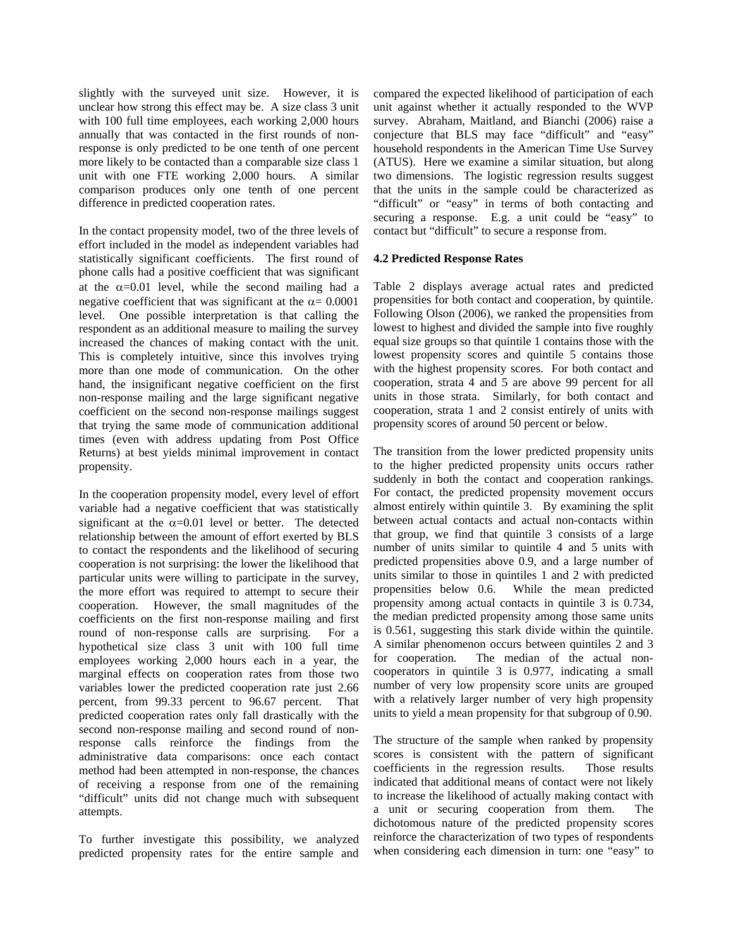slightly with the surveyed unit size. However, it is unclear how strong this effect may be. A size class 3 unit with 100 full time employees, each working 2,000 hours annually that was contacted in the first rounds of nonresponse is only predicted to be one tenth of one percent more likely to be contacted than a comparable size class 1 unit with one FTE working 2,000 hours. A similar comparison produces only one tenth of one percent difference in predicted cooperation rates.

In the contact propensity model, two of the three levels of effort included in the model as independent variables had statistically significant coefficients. The first round of phone calls had a positive coefficient that was significant at the  $\alpha$ =0.01 level, while the second mailing had a negative coefficient that was significant at the  $\alpha$  = 0.0001 level. One possible interpretation is that calling the respondent as an additional measure to mailing the survey increased the chances of making contact with the unit. This is completely intuitive, since this involves trying more than one mode of communication. On the other hand, the insignificant negative coefficient on the first non-response mailing and the large significant negative coefficient on the second non-response mailings suggest that trying the same mode of communication additional times (even with address updating from Post Office Returns) at best yields minimal improvement in contact propensity.

In the cooperation propensity model, every level of effort variable had a negative coefficient that was statistically significant at the  $\alpha$ =0.01 level or better. The detected relationship between the amount of effort exerted by BLS to contact the respondents and the likelihood of securing cooperation is not surprising: the lower the likelihood that particular units were willing to participate in the survey, the more effort was required to attempt to secure their cooperation. However, the small magnitudes of the coefficients on the first non-response mailing and first round of non-response calls are surprising. For a hypothetical size class 3 unit with 100 full time employees working 2,000 hours each in a year, the marginal effects on cooperation rates from those two variables lower the predicted cooperation rate just 2.66 percent, from 99.33 percent to 96.67 percent. That predicted cooperation rates only fall drastically with the second non-response mailing and second round of nonresponse calls reinforce the findings from the administrative data comparisons: once each contact method had been attempted in non-response, the chances of receiving a response from one of the remaining "difficult" units did not change much with subsequent attempts.

To further investigate this possibility, we analyzed predicted propensity rates for the entire sample and compared the expected likelihood of participation of each unit against whether it actually responded to the WVP survey. Abraham, Maitland, and Bianchi (2006) raise a conjecture that BLS may face "difficult" and "easy" household respondents in the American Time Use Survey (ATUS). Here we examine a similar situation, but along two dimensions. The logistic regression results suggest that the units in the sample could be characterized as "difficult" or "easy" in terms of both contacting and securing a response. E.g. a unit could be "easy" to contact but "difficult" to secure a response from.

### **4.2 Predicted Response Rates**

Table 2 displays average actual rates and predicted propensities for both contact and cooperation, by quintile. Following Olson (2006), we ranked the propensities from lowest to highest and divided the sample into five roughly equal size groups so that quintile 1 contains those with the lowest propensity scores and quintile 5 contains those with the highest propensity scores. For both contact and cooperation, strata 4 and 5 are above 99 percent for all units in those strata. Similarly, for both contact and cooperation, strata 1 and 2 consist entirely of units with propensity scores of around 50 percent or below.

The transition from the lower predicted propensity units to the higher predicted propensity units occurs rather suddenly in both the contact and cooperation rankings. For contact, the predicted propensity movement occurs almost entirely within quintile 3. By examining the split between actual contacts and actual non-contacts within that group, we find that quintile 3 consists of a large number of units similar to quintile 4 and 5 units with predicted propensities above 0.9, and a large number of units similar to those in quintiles 1 and 2 with predicted propensities below 0.6. While the mean predicted propensity among actual contacts in quintile 3 is 0.734, the median predicted propensity among those same units is 0.561, suggesting this stark divide within the quintile. A similar phenomenon occurs between quintiles 2 and 3 for cooperation. The median of the actual noncooperators in quintile 3 is 0.977, indicating a small number of very low propensity score units are grouped with a relatively larger number of very high propensity units to yield a mean propensity for that subgroup of 0.90.

The structure of the sample when ranked by propensity scores is consistent with the pattern of significant coefficients in the regression results. Those results indicated that additional means of contact were not likely to increase the likelihood of actually making contact with a unit or securing cooperation from them. The dichotomous nature of the predicted propensity scores reinforce the characterization of two types of respondents when considering each dimension in turn: one "easy" to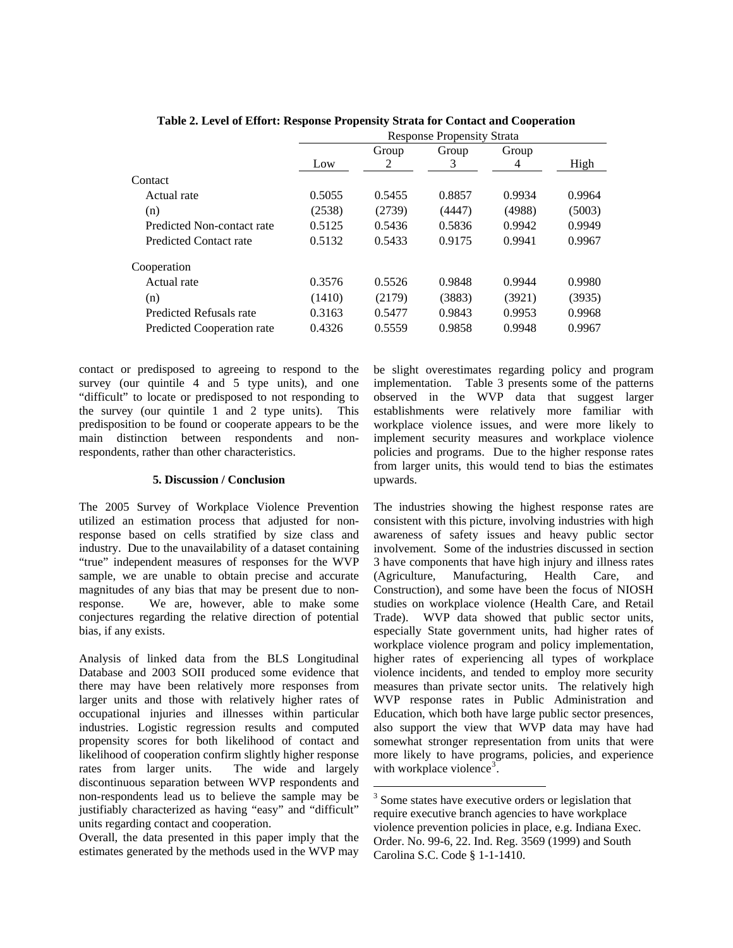|                            | <b>Response Propensity Strata</b> |        |        |        |        |  |  |
|----------------------------|-----------------------------------|--------|--------|--------|--------|--|--|
|                            |                                   | Group  | Group  | Group  |        |  |  |
|                            | Low                               | 2      | 3      | 4      | High   |  |  |
| Contact                    |                                   |        |        |        |        |  |  |
| Actual rate                | 0.5055                            | 0.5455 | 0.8857 | 0.9934 | 0.9964 |  |  |
| (n)                        | (2538)                            | (2739) | (4447) | (4988) | (5003) |  |  |
| Predicted Non-contact rate | 0.5125                            | 0.5436 | 0.5836 | 0.9942 | 0.9949 |  |  |
| Predicted Contact rate     | 0.5132                            | 0.5433 | 0.9175 | 0.9941 | 0.9967 |  |  |
| Cooperation                |                                   |        |        |        |        |  |  |
| Actual rate                | 0.3576                            | 0.5526 | 0.9848 | 0.9944 | 0.9980 |  |  |
| (n)                        | (1410)                            | (2179) | (3883) | (3921) | (3935) |  |  |
| Predicted Refusals rate    | 0.3163                            | 0.5477 | 0.9843 | 0.9953 | 0.9968 |  |  |
| Predicted Cooperation rate | 0.4326                            | 0.5559 | 0.9858 | 0.9948 | 0.9967 |  |  |

 $\overline{a}$ 

**Table 2. Level of Effort: Response Propensity Strata for Contact and Cooperation** 

contact or predisposed to agreeing to respond to the survey (our quintile 4 and 5 type units), and one "difficult" to locate or predisposed to not responding to the survey (our quintile 1 and 2 type units). This predisposition to be found or cooperate appears to be the main distinction between respondents and nonrespondents, rather than other characteristics.

#### **5. Discussion / Conclusion**

The 2005 Survey of Workplace Violence Prevention utilized an estimation process that adjusted for nonresponse based on cells stratified by size class and industry. Due to the unavailability of a dataset containing "true" independent measures of responses for the WVP sample, we are unable to obtain precise and accurate magnitudes of any bias that may be present due to nonresponse. We are, however, able to make some conjectures regarding the relative direction of potential bias, if any exists.

Analysis of linked data from the BLS Longitudinal Database and 2003 SOII produced some evidence that there may have been relatively more responses from larger units and those with relatively higher rates of occupational injuries and illnesses within particular industries. Logistic regression results and computed propensity scores for both likelihood of contact and likelihood of cooperation confirm slightly higher response rates from larger units. The wide and largely discontinuous separation between WVP respondents and non-respondents lead us to believe the sample may be justifiably characterized as having "easy" and "difficult" units regarding contact and cooperation.

<span id="page-5-0"></span>Overall, the data presented in this paper imply that the estimates generated by the methods used in the WVP may

be slight overestimates regarding policy and program implementation. Table 3 presents some of the patterns observed in the WVP data that suggest larger establishments were relatively more familiar with workplace violence issues, and were more likely to implement security measures and workplace violence policies and programs. Due to the higher response rates from larger units, this would tend to bias the estimates upwards.

The industries showing the highest response rates are consistent with this picture, involving industries with high awareness of safety issues and heavy public sector involvement. Some of the industries discussed in section 3 have components that have high injury and illness rates (Agriculture, Manufacturing, Health Care, and Construction), and some have been the focus of NIOSH studies on workplace violence (Health Care, and Retail Trade). WVP data showed that public sector units, especially State government units, had higher rates of workplace violence program and policy implementation, higher rates of experiencing all types of workplace violence incidents, and tended to employ more security measures than private sector units. The relatively high WVP response rates in Public Administration and Education, which both have large public sector presences, also support the view that WVP data may have had somewhat stronger representation from units that were more likely to have programs, policies, and experience with workplace violence<sup>[3](#page-5-0)</sup>.

<sup>&</sup>lt;sup>3</sup> Some states have executive orders or legislation that require executive branch agencies to have workplace violence prevention policies in place, e.g. Indiana Exec. Order. No. 99-6, 22. Ind. Reg. 3569 (1999) and South Carolina S.C. Code § 1-1-1410.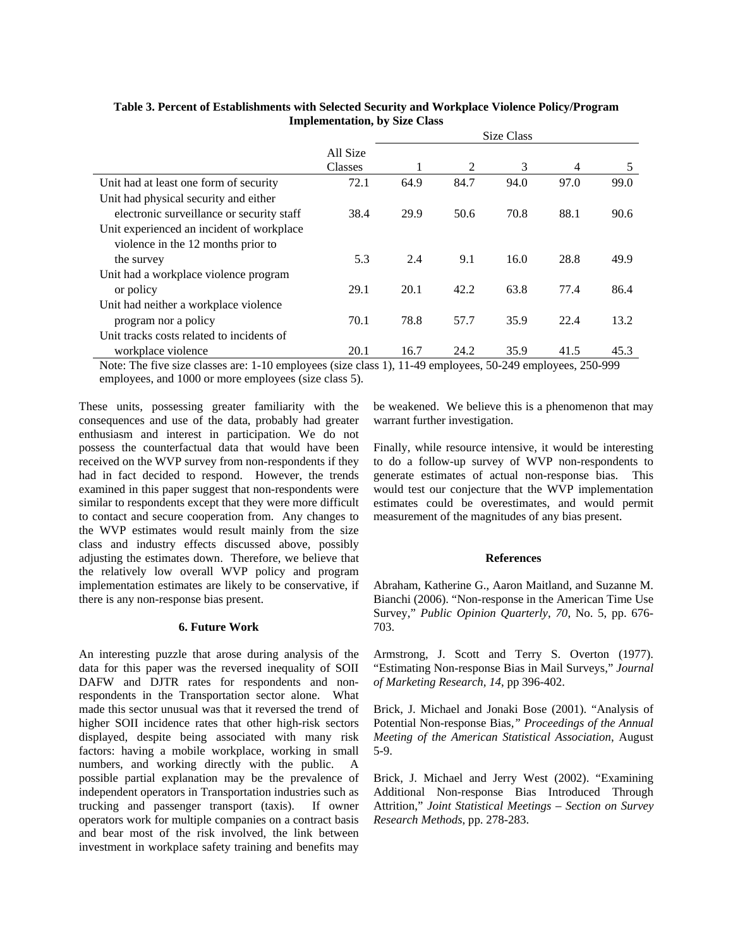|                                           |                | Size Class |      |      |      |      |  |  |
|-------------------------------------------|----------------|------------|------|------|------|------|--|--|
|                                           | All Size       |            |      |      |      |      |  |  |
|                                           | <b>Classes</b> |            | 2    | 3    | 4    | 5    |  |  |
| Unit had at least one form of security    | 72.1           | 64.9       | 84.7 | 94.0 | 97.0 | 99.0 |  |  |
| Unit had physical security and either     |                |            |      |      |      |      |  |  |
| electronic surveillance or security staff | 38.4           | 29.9       | 50.6 | 70.8 | 88.1 | 90.6 |  |  |
| Unit experienced an incident of workplace |                |            |      |      |      |      |  |  |
| violence in the 12 months prior to        |                |            |      |      |      |      |  |  |
| the survey                                | 5.3            | 2.4        | 9.1  | 16.0 | 28.8 | 49.9 |  |  |
| Unit had a workplace violence program     |                |            |      |      |      |      |  |  |
| or policy                                 | 29.1           | 20.1       | 42.2 | 63.8 | 77.4 | 86.4 |  |  |
| Unit had neither a workplace violence     |                |            |      |      |      |      |  |  |
| program nor a policy                      | 70.1           | 78.8       | 57.7 | 35.9 | 22.4 | 13.2 |  |  |
| Unit tracks costs related to incidents of |                |            |      |      |      |      |  |  |
| workplace violence                        | 20.1           | 16.7       | 24.2 | 35.9 | 41.5 | 45.3 |  |  |

# **Table 3. Percent of Establishments with Selected Security and Workplace Violence Policy/Program Implementation, by Size Class**

Note: The five size classes are: 1-10 employees (size class 1), 11-49 employees, 50-249 employees, 250-999 employees, and 1000 or more employees (size class 5).

These units, possessing greater familiarity with the consequences and use of the data, probably had greater enthusiasm and interest in participation. We do not possess the counterfactual data that would have been received on the WVP survey from non-respondents if they had in fact decided to respond. However, the trends examined in this paper suggest that non-respondents were similar to respondents except that they were more difficult to contact and secure cooperation from. Any changes to the WVP estimates would result mainly from the size class and industry effects discussed above, possibly adjusting the estimates down. Therefore, we believe that the relatively low overall WVP policy and program implementation estimates are likely to be conservative, if there is any non-response bias present.

### **6. Future Work**

An interesting puzzle that arose during analysis of the data for this paper was the reversed inequality of SOII DAFW and DJTR rates for respondents and nonrespondents in the Transportation sector alone. What made this sector unusual was that it reversed the trend of higher SOII incidence rates that other high-risk sectors displayed, despite being associated with many risk factors: having a mobile workplace, working in small numbers, and working directly with the public. A possible partial explanation may be the prevalence of independent operators in Transportation industries such as trucking and passenger transport (taxis). If owner operators work for multiple companies on a contract basis and bear most of the risk involved, the link between investment in workplace safety training and benefits may

be weakened. We believe this is a phenomenon that may warrant further investigation.

Finally, while resource intensive, it would be interesting to do a follow-up survey of WVP non-respondents to generate estimates of actual non-response bias. This would test our conjecture that the WVP implementation estimates could be overestimates, and would permit measurement of the magnitudes of any bias present.

#### **References**

Abraham, Katherine G., Aaron Maitland, and Suzanne M. Bianchi (2006). "Non-response in the American Time Use Survey," *Public Opinion Quarterly*, *70*, No. 5, pp. 676- 703.

Armstrong, J. Scott and Terry S. Overton (1977). "Estimating Non-response Bias in Mail Surveys," *Journal of Marketing Research, 14*, pp 396-402.

Brick, J. Michael and Jonaki Bose (2001). "Analysis of Potential Non-response Bias*," Proceedings of the Annual Meeting of the American Statistical Association*, August 5-9.

Brick, J. Michael and Jerry West (2002). "Examining Additional Non-response Bias Introduced Through Attrition," *Joint Statistical Meetings – Section on Survey Research Methods*, pp. 278-283.